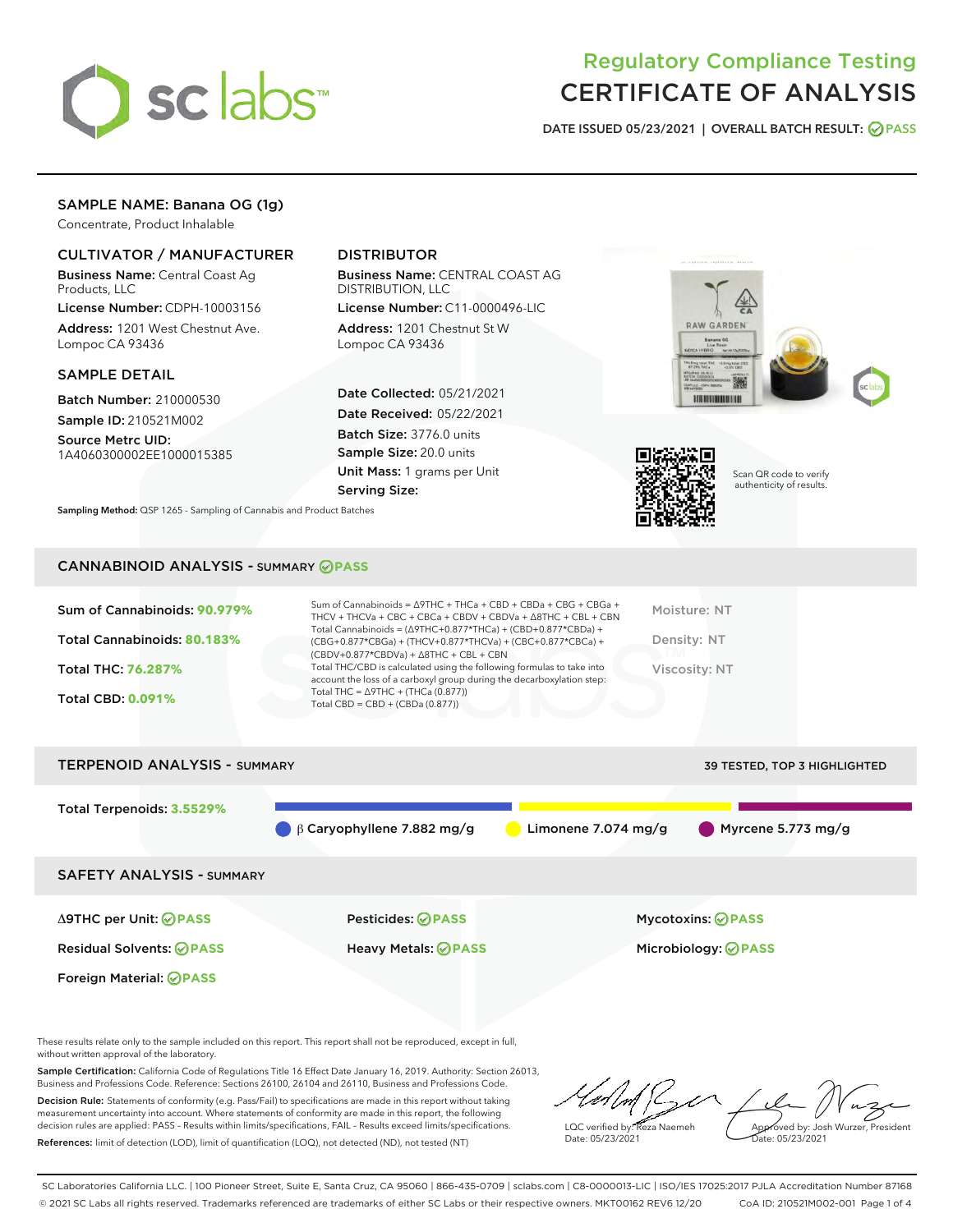

# Regulatory Compliance Testing CERTIFICATE OF ANALYSIS

DATE ISSUED 05/23/2021 | OVERALL BATCH RESULT: @ PASS

# SAMPLE NAME: Banana OG (1g)

Concentrate, Product Inhalable

## CULTIVATOR / MANUFACTURER

Business Name: Central Coast Ag Products, LLC

License Number: CDPH-10003156 Address: 1201 West Chestnut Ave. Lompoc CA 93436

#### SAMPLE DETAIL

Batch Number: 210000530 Sample ID: 210521M002

Source Metrc UID: 1A4060300002EE1000015385

# DISTRIBUTOR

Business Name: CENTRAL COAST AG DISTRIBUTION, LLC

License Number: C11-0000496-LIC Address: 1201 Chestnut St W Lompoc CA 93436

Date Collected: 05/21/2021 Date Received: 05/22/2021 Batch Size: 3776.0 units Sample Size: 20.0 units Unit Mass: 1 grams per Unit Serving Size:





Scan QR code to verify authenticity of results.

Sampling Method: QSP 1265 - Sampling of Cannabis and Product Batches

# CANNABINOID ANALYSIS - SUMMARY **PASS**

| Sum of Cannabinoids: 90.979%<br>Total Cannabinoids: 80.183%<br><b>Total THC: 76.287%</b><br><b>Total CBD: 0.091%</b> | Sum of Cannabinoids = $\triangle$ 9THC + THCa + CBD + CBDa + CBG + CBGa +<br>THCV + THCVa + CBC + CBCa + CBDV + CBDVa + $\land$ 8THC + CBL + CBN<br>Total Cannabinoids = $(\Delta$ 9THC+0.877*THCa) + (CBD+0.877*CBDa) +<br>(CBG+0.877*CBGa) + (THCV+0.877*THCVa) + (CBC+0.877*CBCa) +<br>$(CBDV+0.877*CBDVa) + \Delta 8THC + CBL + CBN$<br>Total THC/CBD is calculated using the following formulas to take into<br>account the loss of a carboxyl group during the decarboxylation step:<br>Total THC = $\triangle$ 9THC + (THCa (0.877))<br>Total CBD = $CBD + (CBDa (0.877))$ | Moisture: NT<br>Density: NT<br>Viscosity: NT |
|----------------------------------------------------------------------------------------------------------------------|-----------------------------------------------------------------------------------------------------------------------------------------------------------------------------------------------------------------------------------------------------------------------------------------------------------------------------------------------------------------------------------------------------------------------------------------------------------------------------------------------------------------------------------------------------------------------------------|----------------------------------------------|
| <b>TERPENOID ANALYSIS - SUMMARY</b>                                                                                  |                                                                                                                                                                                                                                                                                                                                                                                                                                                                                                                                                                                   | 39 TESTED, TOP 3 HIGHLIGHTED                 |

Total Terpenoids: **3.5529%** β Caryophyllene 7.882 mg/g Limonene 7.074 mg/g Myrcene 5.773 mg/g SAFETY ANALYSIS - SUMMARY Δ9THC per Unit: **PASS** Pesticides: **PASS** Mycotoxins: **PASS** Residual Solvents: **PASS** Heavy Metals: **PASS** Microbiology: **PASS**

Foreign Material: **PASS**

These results relate only to the sample included on this report. This report shall not be reproduced, except in full, without written approval of the laboratory.

Sample Certification: California Code of Regulations Title 16 Effect Date January 16, 2019. Authority: Section 26013, Business and Professions Code. Reference: Sections 26100, 26104 and 26110, Business and Professions Code.

Decision Rule: Statements of conformity (e.g. Pass/Fail) to specifications are made in this report without taking measurement uncertainty into account. Where statements of conformity are made in this report, the following decision rules are applied: PASS – Results within limits/specifications, FAIL – Results exceed limits/specifications. References: limit of detection (LOD), limit of quantification (LOQ), not detected (ND), not tested (NT)

LQC verified by: Reza Naemeh Date: 05/23/2021 Approved by: Josh Wurzer, President Date: 05/23/2021

SC Laboratories California LLC. | 100 Pioneer Street, Suite E, Santa Cruz, CA 95060 | 866-435-0709 | sclabs.com | C8-0000013-LIC | ISO/IES 17025:2017 PJLA Accreditation Number 87168 © 2021 SC Labs all rights reserved. Trademarks referenced are trademarks of either SC Labs or their respective owners. MKT00162 REV6 12/20 CoA ID: 210521M002-001 Page 1 of 4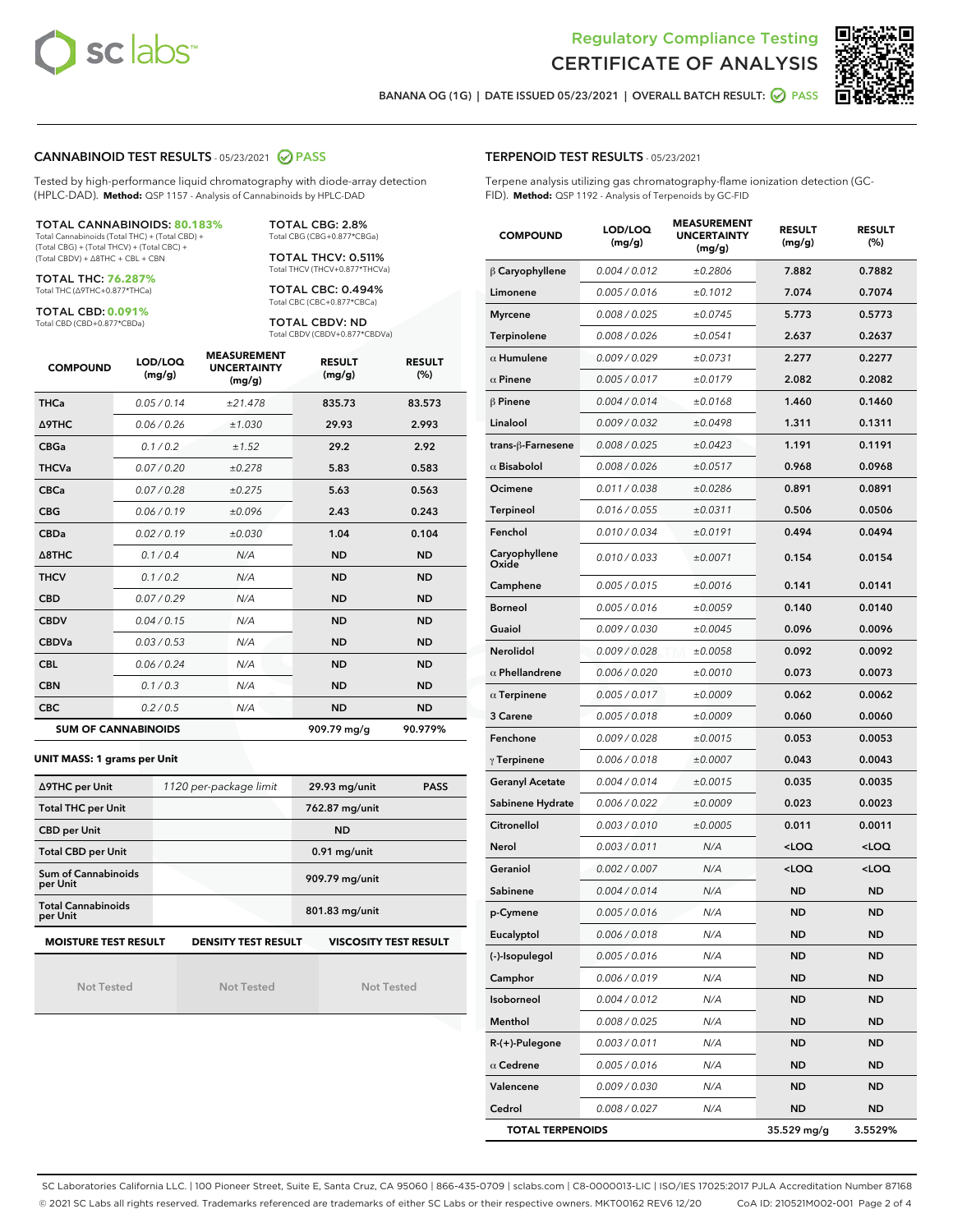



BANANA OG (1G) | DATE ISSUED 05/23/2021 | OVERALL BATCH RESULT: @ PASS

#### CANNABINOID TEST RESULTS - 05/23/2021 2 PASS

Tested by high-performance liquid chromatography with diode-array detection (HPLC-DAD). **Method:** QSP 1157 - Analysis of Cannabinoids by HPLC-DAD

#### TOTAL CANNABINOIDS: **80.183%**

Total Cannabinoids (Total THC) + (Total CBD) + (Total CBG) + (Total THCV) + (Total CBC) + (Total CBDV) + ∆8THC + CBL + CBN

TOTAL THC: **76.287%** Total THC (∆9THC+0.877\*THCa)

TOTAL CBD: **0.091%**

Total CBD (CBD+0.877\*CBDa)

TOTAL CBG: 2.8% Total CBG (CBG+0.877\*CBGa)

TOTAL THCV: 0.511% Total THCV (THCV+0.877\*THCVa)

TOTAL CBC: 0.494% Total CBC (CBC+0.877\*CBCa)

TOTAL CBDV: ND Total CBDV (CBDV+0.877\*CBDVa)

| <b>COMPOUND</b> | LOD/LOQ<br>(mg/g)          | <b>MEASUREMENT</b><br><b>UNCERTAINTY</b><br>(mg/g) | <b>RESULT</b><br>(mg/g) | <b>RESULT</b><br>(%) |
|-----------------|----------------------------|----------------------------------------------------|-------------------------|----------------------|
| <b>THCa</b>     | 0.05/0.14                  | ±21.478                                            | 835.73                  | 83.573               |
| <b>A9THC</b>    | 0.06 / 0.26                | ±1.030                                             | 29.93                   | 2.993                |
| <b>CBGa</b>     | 0.1 / 0.2                  | ±1.52                                              | 29.2                    | 2.92                 |
| <b>THCVa</b>    | 0.07 / 0.20                | ±0.278                                             | 5.83                    | 0.583                |
| <b>CBCa</b>     | 0.07/0.28                  | ±0.275                                             | 5.63                    | 0.563                |
| <b>CBG</b>      | 0.06/0.19                  | ±0.096                                             | 2.43                    | 0.243                |
| <b>CBDa</b>     | 0.02/0.19                  | ±0.030                                             | 1.04                    | 0.104                |
| A8THC           | 0.1/0.4                    | N/A                                                | <b>ND</b>               | <b>ND</b>            |
| <b>THCV</b>     | 0.1/0.2                    | N/A                                                | <b>ND</b>               | <b>ND</b>            |
| <b>CBD</b>      | 0.07/0.29                  | N/A                                                | <b>ND</b>               | <b>ND</b>            |
| <b>CBDV</b>     | 0.04 / 0.15                | N/A                                                | <b>ND</b>               | <b>ND</b>            |
| <b>CBDVa</b>    | 0.03/0.53                  | N/A                                                | <b>ND</b>               | <b>ND</b>            |
| <b>CBL</b>      | 0.06 / 0.24                | N/A                                                | <b>ND</b>               | <b>ND</b>            |
| <b>CBN</b>      | 0.1/0.3                    | N/A                                                | <b>ND</b>               | <b>ND</b>            |
| <b>CBC</b>      | 0.2 / 0.5                  | N/A                                                | <b>ND</b>               | <b>ND</b>            |
|                 | <b>SUM OF CANNABINOIDS</b> |                                                    | 909.79 mg/g             | 90.979%              |

#### **UNIT MASS: 1 grams per Unit**

| ∆9THC per Unit                        | 1120 per-package limit     | 29.93 mg/unit<br><b>PASS</b> |  |  |
|---------------------------------------|----------------------------|------------------------------|--|--|
| <b>Total THC per Unit</b>             |                            | 762.87 mg/unit               |  |  |
| <b>CBD per Unit</b>                   |                            | <b>ND</b>                    |  |  |
| <b>Total CBD per Unit</b>             |                            | $0.91$ mg/unit               |  |  |
| Sum of Cannabinoids<br>per Unit       |                            | 909.79 mg/unit               |  |  |
| <b>Total Cannabinoids</b><br>per Unit |                            | 801.83 mg/unit               |  |  |
| <b>MOISTURE TEST RESULT</b>           | <b>DENSITY TEST RESULT</b> | <b>VISCOSITY TEST RESULT</b> |  |  |

Not Tested

Not Tested

Not Tested

#### TERPENOID TEST RESULTS - 05/23/2021

Terpene analysis utilizing gas chromatography-flame ionization detection (GC-FID). **Method:** QSP 1192 - Analysis of Terpenoids by GC-FID

| <b>COMPOUND</b>         | LOD/LOQ<br>(mg/g) | <b>MEASUREMENT</b><br><b>UNCERTAINTY</b><br>(mg/g) | <b>RESULT</b><br>(mg/g)                         | <b>RESULT</b><br>(%) |
|-------------------------|-------------------|----------------------------------------------------|-------------------------------------------------|----------------------|
| $\beta$ Caryophyllene   | 0.004 / 0.012     | ±0.2806                                            | 7.882                                           | 0.7882               |
| Limonene                | 0.005 / 0.016     | ±0.1012                                            | 7.074                                           | 0.7074               |
| <b>Myrcene</b>          | 0.008 / 0.025     | ±0.0745                                            | 5.773                                           | 0.5773               |
| Terpinolene             | 0.008 / 0.026     | ±0.0541                                            | 2.637                                           | 0.2637               |
| $\alpha$ Humulene       | 0.009 / 0.029     | ±0.0731                                            | 2.277                                           | 0.2277               |
| $\alpha$ Pinene         | 0.005 / 0.017     | ±0.0179                                            | 2.082                                           | 0.2082               |
| $\beta$ Pinene          | 0.004 / 0.014     | ±0.0168                                            | 1.460                                           | 0.1460               |
| Linalool                | 0.009 / 0.032     | ±0.0498                                            | 1.311                                           | 0.1311               |
| trans-ß-Farnesene       | 0.008 / 0.025     | ±0.0423                                            | 1.191                                           | 0.1191               |
| $\alpha$ Bisabolol      | 0.008 / 0.026     | ±0.0517                                            | 0.968                                           | 0.0968               |
| Ocimene                 | 0.011/0.038       | ±0.0286                                            | 0.891                                           | 0.0891               |
| <b>Terpineol</b>        | 0.016 / 0.055     | ±0.0311                                            | 0.506                                           | 0.0506               |
| Fenchol                 | 0.010 / 0.034     | ±0.0191                                            | 0.494                                           | 0.0494               |
| Caryophyllene<br>Oxide  | 0.010 / 0.033     | ±0.0071                                            | 0.154                                           | 0.0154               |
| Camphene                | 0.005 / 0.015     | ±0.0016                                            | 0.141                                           | 0.0141               |
| <b>Borneol</b>          | 0.005 / 0.016     | ±0.0059                                            | 0.140                                           | 0.0140               |
| Guaiol                  | 0.009 / 0.030     | ±0.0045                                            | 0.096                                           | 0.0096               |
| Nerolidol               | 0.009 / 0.028     | ±0.0058                                            | 0.092                                           | 0.0092               |
| $\alpha$ Phellandrene   | 0.006 / 0.020     | ±0.0010                                            | 0.073                                           | 0.0073               |
| $\alpha$ Terpinene      | 0.005 / 0.017     | ±0.0009                                            | 0.062                                           | 0.0062               |
| 3 Carene                | 0.005 / 0.018     | ±0.0009                                            | 0.060                                           | 0.0060               |
| Fenchone                | 0.009 / 0.028     | ±0.0015                                            | 0.053                                           | 0.0053               |
| $\gamma$ Terpinene      | 0.006 / 0.018     | ±0.0007                                            | 0.043                                           | 0.0043               |
| <b>Geranyl Acetate</b>  | 0.004 / 0.014     | ±0.0015                                            | 0.035                                           | 0.0035               |
| Sabinene Hydrate        | 0.006 / 0.022     | ±0.0009                                            | 0.023                                           | 0.0023               |
| Citronellol             | 0.003 / 0.010     | ±0.0005                                            | 0.011                                           | 0.0011               |
| Nerol                   | 0.003 / 0.011     | N/A                                                | <loq< th=""><th><loq< th=""></loq<></th></loq<> | <loq< th=""></loq<>  |
| Geraniol                | 0.002 / 0.007     | N/A                                                | <loq< th=""><th><loq< th=""></loq<></th></loq<> | <loq< th=""></loq<>  |
| Sabinene                | 0.004 / 0.014     | N/A                                                | ND                                              | ND                   |
| p-Cymene                | 0.005 / 0.016     | N/A                                                | <b>ND</b>                                       | <b>ND</b>            |
| Eucalyptol              | 0.006 / 0.018     | N/A                                                | ND                                              | ND                   |
| (-)-Isopulegol          | 0.005 / 0.016     | N/A                                                | ND                                              | ND                   |
| Camphor                 | 0.006 / 0.019     | N/A                                                | ND                                              | ND                   |
| Isoborneol              | 0.004 / 0.012     | N/A                                                | <b>ND</b>                                       | ND                   |
| Menthol                 | 0.008 / 0.025     | N/A                                                | ND                                              | ND                   |
| R-(+)-Pulegone          | 0.003 / 0.011     | N/A                                                | ND                                              | ND                   |
| $\alpha$ Cedrene        | 0.005 / 0.016     | N/A                                                | <b>ND</b>                                       | ND                   |
| Valencene               | 0.009 / 0.030     | N/A                                                | ND                                              | ND                   |
| Cedrol                  | 0.008 / 0.027     | N/A                                                | ND                                              | ND                   |
| <b>TOTAL TERPENOIDS</b> |                   |                                                    | 35.529 mg/g                                     | 3.5529%              |

SC Laboratories California LLC. | 100 Pioneer Street, Suite E, Santa Cruz, CA 95060 | 866-435-0709 | sclabs.com | C8-0000013-LIC | ISO/IES 17025:2017 PJLA Accreditation Number 87168 © 2021 SC Labs all rights reserved. Trademarks referenced are trademarks of either SC Labs or their respective owners. MKT00162 REV6 12/20 CoA ID: 210521M002-001 Page 2 of 4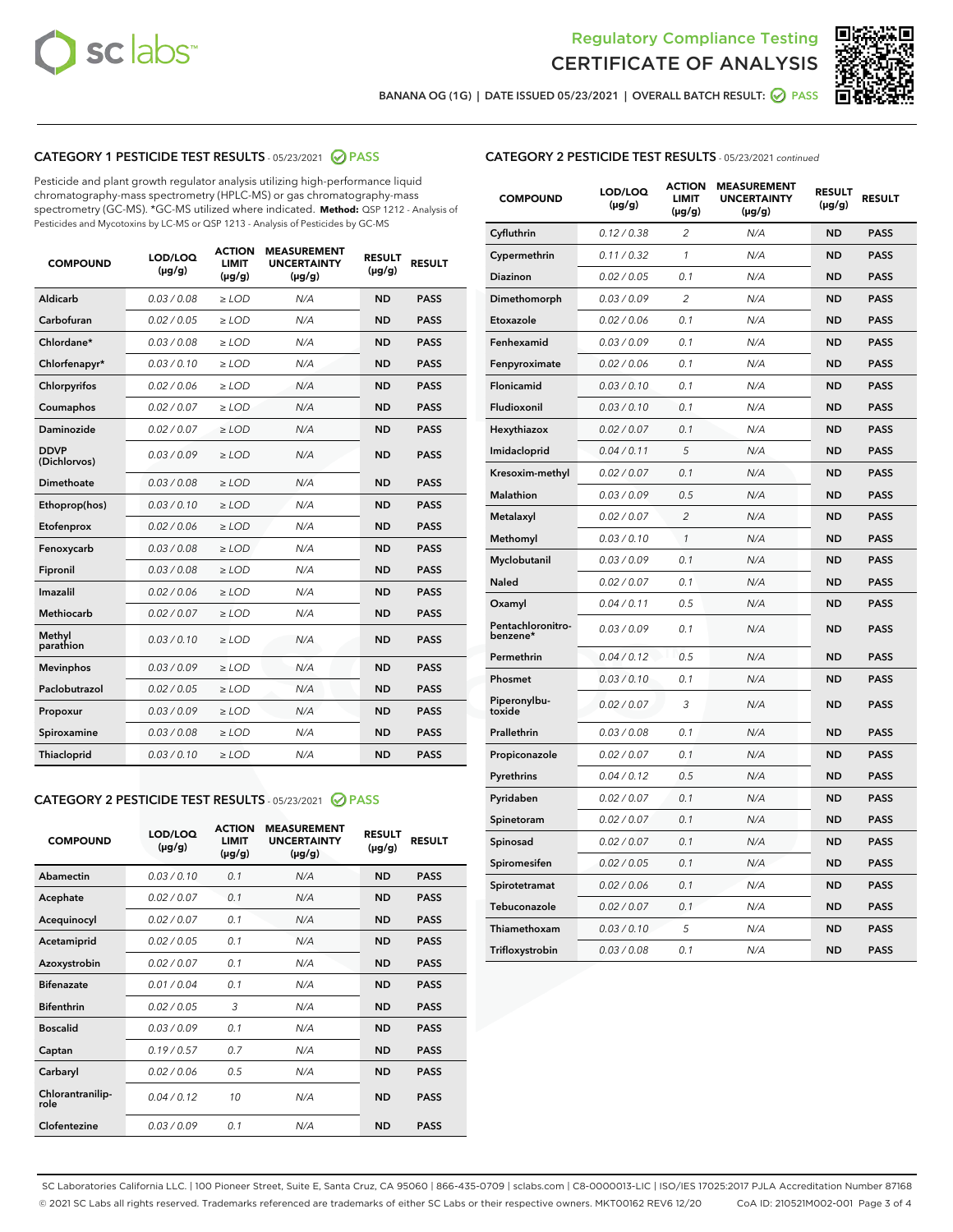



BANANA OG (1G) | DATE ISSUED 05/23/2021 | OVERALL BATCH RESULT:  $\bigcirc$  PASS

## CATEGORY 1 PESTICIDE TEST RESULTS - 05/23/2021 2 PASS

Pesticide and plant growth regulator analysis utilizing high-performance liquid chromatography-mass spectrometry (HPLC-MS) or gas chromatography-mass spectrometry (GC-MS). \*GC-MS utilized where indicated. **Method:** QSP 1212 - Analysis of Pesticides and Mycotoxins by LC-MS or QSP 1213 - Analysis of Pesticides by GC-MS

| <b>COMPOUND</b>             | LOD/LOQ<br>$(\mu g/g)$ | <b>ACTION</b><br><b>LIMIT</b><br>$(\mu g/g)$ | <b>MEASUREMENT</b><br><b>UNCERTAINTY</b><br>$(\mu g/g)$ | <b>RESULT</b><br>$(\mu g/g)$ | <b>RESULT</b> |
|-----------------------------|------------------------|----------------------------------------------|---------------------------------------------------------|------------------------------|---------------|
| Aldicarb                    | 0.03 / 0.08            | $\ge$ LOD                                    | N/A                                                     | <b>ND</b>                    | <b>PASS</b>   |
| Carbofuran                  | 0.02/0.05              | $>$ LOD                                      | N/A                                                     | <b>ND</b>                    | <b>PASS</b>   |
| Chlordane*                  | 0.03 / 0.08            | $\geq$ LOD                                   | N/A                                                     | <b>ND</b>                    | <b>PASS</b>   |
| Chlorfenapyr*               | 0.03/0.10              | $\geq$ LOD                                   | N/A                                                     | <b>ND</b>                    | <b>PASS</b>   |
| Chlorpyrifos                | 0.02 / 0.06            | $\ge$ LOD                                    | N/A                                                     | <b>ND</b>                    | <b>PASS</b>   |
| Coumaphos                   | 0.02 / 0.07            | $\ge$ LOD                                    | N/A                                                     | <b>ND</b>                    | <b>PASS</b>   |
| Daminozide                  | 0.02/0.07              | $>$ LOD                                      | N/A                                                     | <b>ND</b>                    | <b>PASS</b>   |
| <b>DDVP</b><br>(Dichlorvos) | 0.03/0.09              | $\ge$ LOD                                    | N/A                                                     | <b>ND</b>                    | <b>PASS</b>   |
| Dimethoate                  | 0.03 / 0.08            | $\ge$ LOD                                    | N/A                                                     | <b>ND</b>                    | <b>PASS</b>   |
| Ethoprop(hos)               | 0.03/0.10              | $>$ LOD                                      | N/A                                                     | <b>ND</b>                    | <b>PASS</b>   |
| Etofenprox                  | 0.02 / 0.06            | $\ge$ LOD                                    | N/A                                                     | <b>ND</b>                    | <b>PASS</b>   |
| Fenoxycarb                  | 0.03 / 0.08            | $\ge$ LOD                                    | N/A                                                     | <b>ND</b>                    | <b>PASS</b>   |
| Fipronil                    | 0.03/0.08              | $\ge$ LOD                                    | N/A                                                     | <b>ND</b>                    | <b>PASS</b>   |
| Imazalil                    | 0.02 / 0.06            | $\ge$ LOD                                    | N/A                                                     | <b>ND</b>                    | <b>PASS</b>   |
| <b>Methiocarb</b>           | 0.02 / 0.07            | $\ge$ LOD                                    | N/A                                                     | <b>ND</b>                    | <b>PASS</b>   |
| Methyl<br>parathion         | 0.03/0.10              | $\ge$ LOD                                    | N/A                                                     | <b>ND</b>                    | <b>PASS</b>   |
| <b>Mevinphos</b>            | 0.03/0.09              | $>$ LOD                                      | N/A                                                     | <b>ND</b>                    | <b>PASS</b>   |
| Paclobutrazol               | 0.02 / 0.05            | $\ge$ LOD                                    | N/A                                                     | <b>ND</b>                    | <b>PASS</b>   |
| Propoxur                    | 0.03/0.09              | $\ge$ LOD                                    | N/A                                                     | <b>ND</b>                    | <b>PASS</b>   |
| Spiroxamine                 | 0.03 / 0.08            | $\ge$ LOD                                    | N/A                                                     | <b>ND</b>                    | <b>PASS</b>   |
| Thiacloprid                 | 0.03/0.10              | $\ge$ LOD                                    | N/A                                                     | <b>ND</b>                    | <b>PASS</b>   |

#### CATEGORY 2 PESTICIDE TEST RESULTS - 05/23/2021 @ PASS

| <b>COMPOUND</b>          | LOD/LOO<br>$(\mu g/g)$ | <b>ACTION</b><br>LIMIT<br>$(\mu g/g)$ | <b>MEASUREMENT</b><br><b>UNCERTAINTY</b><br>$(\mu g/g)$ | <b>RESULT</b><br>$(\mu g/g)$ | <b>RESULT</b> |  |
|--------------------------|------------------------|---------------------------------------|---------------------------------------------------------|------------------------------|---------------|--|
| Abamectin                | 0.03/0.10              | 0.1                                   | N/A                                                     | <b>ND</b>                    | <b>PASS</b>   |  |
| Acephate                 | 0.02/0.07              | 0.1                                   | N/A                                                     | <b>ND</b>                    | <b>PASS</b>   |  |
| Acequinocyl              | 0.02/0.07              | 0.1                                   | N/A                                                     | <b>ND</b>                    | <b>PASS</b>   |  |
| Acetamiprid              | 0.02/0.05              | 0.1                                   | N/A                                                     | <b>ND</b>                    | <b>PASS</b>   |  |
| Azoxystrobin             | 0.02/0.07              | 0.1                                   | N/A                                                     | <b>ND</b>                    | <b>PASS</b>   |  |
| <b>Bifenazate</b>        | 0.01 / 0.04            | 0.1                                   | N/A                                                     | <b>ND</b>                    | <b>PASS</b>   |  |
| <b>Bifenthrin</b>        | 0.02/0.05              | 3                                     | N/A                                                     | <b>ND</b>                    | <b>PASS</b>   |  |
| <b>Boscalid</b>          | 0.03/0.09              | 0.1                                   | N/A                                                     | <b>ND</b>                    | <b>PASS</b>   |  |
| Captan                   | 0.19/0.57              | 0.7                                   | N/A                                                     | <b>ND</b>                    | <b>PASS</b>   |  |
| Carbaryl                 | 0.02/0.06              | 0.5                                   | N/A                                                     | <b>ND</b>                    | <b>PASS</b>   |  |
| Chlorantranilip-<br>role | 0.04/0.12              | 10                                    | N/A                                                     | <b>ND</b>                    | <b>PASS</b>   |  |
| Clofentezine             | 0.03/0.09              | 0.1                                   | N/A                                                     | <b>ND</b>                    | <b>PASS</b>   |  |

| <b>COMPOUND</b>               | LOD/LOQ<br>$(\mu g/g)$ | <b>ACTION</b><br>LIMIT<br>(µg/g) | <b>MEASUREMENT</b><br><b>UNCERTAINTY</b><br>(µg/g) | <b>RESULT</b><br>$(\mu g/g)$ | <b>RESULT</b> |
|-------------------------------|------------------------|----------------------------------|----------------------------------------------------|------------------------------|---------------|
| Cyfluthrin                    | 0.12 / 0.38            | $\overline{c}$                   | N/A                                                | ND                           | <b>PASS</b>   |
| Cypermethrin                  | 0.11 / 0.32            | 1                                | N/A                                                | <b>ND</b>                    | <b>PASS</b>   |
| Diazinon                      | 0.02 / 0.05            | 0.1                              | N/A                                                | <b>ND</b>                    | <b>PASS</b>   |
| Dimethomorph                  | 0.03 / 0.09            | 2                                | N/A                                                | <b>ND</b>                    | <b>PASS</b>   |
| Etoxazole                     | 0.02 / 0.06            | 0.1                              | N/A                                                | <b>ND</b>                    | <b>PASS</b>   |
| Fenhexamid                    | 0.03 / 0.09            | 0.1                              | N/A                                                | <b>ND</b>                    | <b>PASS</b>   |
| Fenpyroximate                 | 0.02 / 0.06            | 0.1                              | N/A                                                | <b>ND</b>                    | <b>PASS</b>   |
| Flonicamid                    | 0.03 / 0.10            | 0.1                              | N/A                                                | <b>ND</b>                    | <b>PASS</b>   |
| Fludioxonil                   | 0.03/0.10              | 0.1                              | N/A                                                | <b>ND</b>                    | <b>PASS</b>   |
| Hexythiazox                   | 0.02 / 0.07            | 0.1                              | N/A                                                | <b>ND</b>                    | <b>PASS</b>   |
| Imidacloprid                  | 0.04 / 0.11            | 5                                | N/A                                                | <b>ND</b>                    | <b>PASS</b>   |
| Kresoxim-methyl               | 0.02 / 0.07            | 0.1                              | N/A                                                | <b>ND</b>                    | <b>PASS</b>   |
| <b>Malathion</b>              | 0.03 / 0.09            | 0.5                              | N/A                                                | <b>ND</b>                    | <b>PASS</b>   |
| Metalaxyl                     | 0.02 / 0.07            | $\overline{c}$                   | N/A                                                | <b>ND</b>                    | <b>PASS</b>   |
| Methomyl                      | 0.03 / 0.10            | $\mathcal{I}$                    | N/A                                                | <b>ND</b>                    | <b>PASS</b>   |
| Myclobutanil                  | 0.03 / 0.09            | 0.1                              | N/A                                                | <b>ND</b>                    | <b>PASS</b>   |
| Naled                         | 0.02 / 0.07            | 0.1                              | N/A                                                | <b>ND</b>                    | <b>PASS</b>   |
| Oxamyl                        | 0.04 / 0.11            | 0.5                              | N/A                                                | <b>ND</b>                    | <b>PASS</b>   |
| Pentachloronitro-<br>benzene* | 0.03/0.09              | 0.1                              | N/A                                                | <b>ND</b>                    | <b>PASS</b>   |
| Permethrin                    | 0.04 / 0.12            | 0.5                              | N/A                                                | <b>ND</b>                    | <b>PASS</b>   |
| Phosmet                       | 0.03 / 0.10            | 0.1                              | N/A                                                | <b>ND</b>                    | <b>PASS</b>   |
| Piperonylbu-<br>toxide        | 0.02 / 0.07            | 3                                | N/A                                                | <b>ND</b>                    | <b>PASS</b>   |
| Prallethrin                   | 0.03 / 0.08            | 0.1                              | N/A                                                | <b>ND</b>                    | <b>PASS</b>   |
| Propiconazole                 | 0.02 / 0.07            | 0.1                              | N/A                                                | <b>ND</b>                    | <b>PASS</b>   |
| Pyrethrins                    | 0.04 / 0.12            | 0.5                              | N/A                                                | <b>ND</b>                    | <b>PASS</b>   |
| Pyridaben                     | 0.02 / 0.07            | 0.1                              | N/A                                                | <b>ND</b>                    | <b>PASS</b>   |
| Spinetoram                    | 0.02 / 0.07            | 0.1                              | N/A                                                | ND                           | <b>PASS</b>   |
| Spinosad                      | 0.02 / 0.07            | 0.1                              | N/A                                                | <b>ND</b>                    | <b>PASS</b>   |
| Spiromesifen                  | 0.02 / 0.05            | 0.1                              | N/A                                                | <b>ND</b>                    | <b>PASS</b>   |
| Spirotetramat                 | 0.02 / 0.06            | 0.1                              | N/A                                                | <b>ND</b>                    | <b>PASS</b>   |
| Tebuconazole                  | 0.02 / 0.07            | 0.1                              | N/A                                                | ND                           | <b>PASS</b>   |
| Thiamethoxam                  | 0.03 / 0.10            | 5                                | N/A                                                | <b>ND</b>                    | <b>PASS</b>   |
| Trifloxystrobin               | 0.03 / 0.08            | 0.1                              | N/A                                                | <b>ND</b>                    | <b>PASS</b>   |

SC Laboratories California LLC. | 100 Pioneer Street, Suite E, Santa Cruz, CA 95060 | 866-435-0709 | sclabs.com | C8-0000013-LIC | ISO/IES 17025:2017 PJLA Accreditation Number 87168 © 2021 SC Labs all rights reserved. Trademarks referenced are trademarks of either SC Labs or their respective owners. MKT00162 REV6 12/20 CoA ID: 210521M002-001 Page 3 of 4